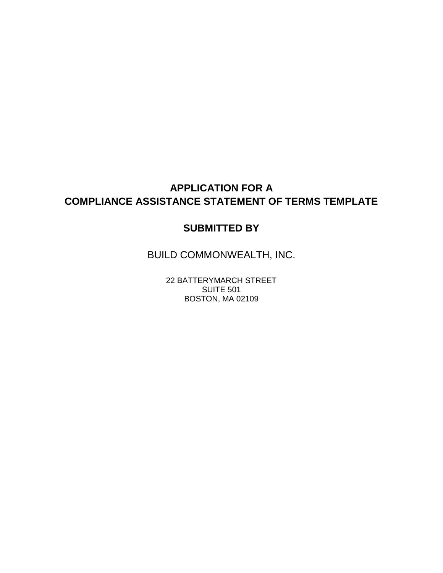# **APPLICATION FOR A COMPLIANCE ASSISTANCE STATEMENT OF TERMS TEMPLATE**

#### **SUBMITTED BY**

BUILD COMMONWEALTH, INC.

22 BATTERYMARCH STREET SUITE 501 BOSTON, MA 02109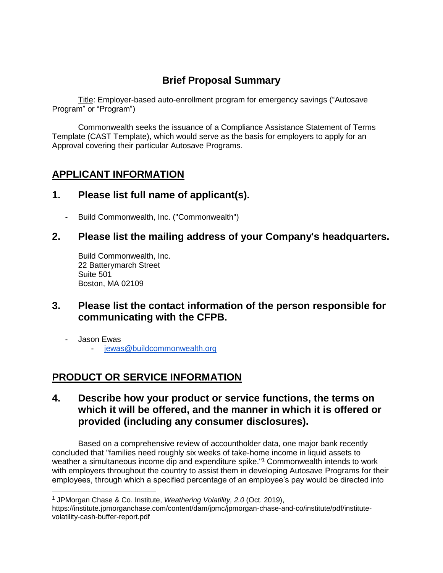## **Brief Proposal Summary**

Title: Employer-based auto-enrollment program for emergency savings ("Autosave Program" or "Program")

Commonwealth seeks the issuance of a Compliance Assistance Statement of Terms Template (CAST Template), which would serve as the basis for employers to apply for an Approval covering their particular Autosave Programs.

### **APPLICANT INFORMATION**

#### **1. Please list full name of applicant(s).**

- Build Commonwealth, Inc. ("Commonwealth")

#### **2. Please list the mailing address of your Company's headquarters.**

Build Commonwealth, Inc. 22 Batterymarch Street Suite 501 Boston, MA 02109

#### **3. Please list the contact information of the person responsible for communicating with the CFPB.**

- Jason Ewas

- jewas@buildcommonwealth.org

## **PRODUCT OR SERVICE INFORMATION**

#### **4. Describe how your product or service functions, the terms on which it will be offered, and the manner in which it is offered or provided (including any consumer disclosures).**

Based on a comprehensive review of accountholder data, one major bank recently concluded that "families need roughly six weeks of take-home income in liquid assets to weather a simultaneous income dip and expenditure spike."<sup>1</sup> Commonwealth intends to work with employers throughout the country to assist them in developing Autosave Programs for their employees, through which a specified percentage of an employee's pay would be directed into

<sup>&</sup>lt;sup>1</sup> JPMorgan Chase & Co. Institute, *Weathering Volatility, 2.0* (Oct. 2019),

https://institute.jpmorganchase.com/content/dam/jpmc/jpmorgan-chase-and-co/institute/pdf/institutevolatility-cash-buffer-report.pdf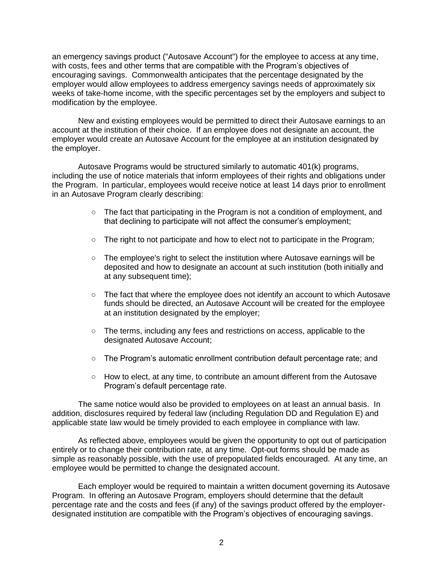an emergency savings product ("Autosave Account") for the employee to access at any time, with costs, fees and other terms that are compatible with the Program's objectives of encouraging savings. Commonwealth anticipates that the percentage designated by the employer would allow employees to address emergency savings needs of approximately six weeks of take-home income, with the specific percentages set by the employers and subject to modification by the employee.

New and existing employees would be permitted to direct their Autosave earnings to an account at the institution of their choice. If an employee does not designate an account, the employer would create an Autosave Account for the employee at an institution designated by the employer.

Autosave Programs would be structured similarly to automatic 401(k) programs, including the use of notice materials that inform employees of their rights and obligations under the Program. In particular, employees would receive notice at least 14 days prior to enrollment in an Autosave Program clearly describing:

- $\circ$  The fact that participating in the Program is not a condition of employment, and that declining to participate will not affect the consumer's employment;
- The right to not participate and how to elect not to participate in the Program;
- The employee's right to select the institution where Autosave earnings will be deposited and how to designate an account at such institution (both initially and at any subsequent time);
- The fact that where the employee does not identify an account to which Autosave funds should be directed, an Autosave Account will be created for the employee at an institution designated by the employer;
- The terms, including any fees and restrictions on access, applicable to the designated Autosave Account;
- The Program's automatic enrollment contribution default percentage rate; and
- How to elect, at any time, to contribute an amount different from the Autosave Program's default percentage rate.

The same notice would also be provided to employees on at least an annual basis. In addition, disclosures required by federal law (including Regulation DD and Regulation E) and applicable state law would be timely provided to each employee in compliance with law.

As reflected above, employees would be given the opportunity to opt out of participation entirely or to change their contribution rate, at any time. Opt-out forms should be made as simple as reasonably possible, with the use of prepopulated fields encouraged. At any time, an employee would be permitted to change the designated account.

Each employer would be required to maintain a written document governing its Autosave Program. In offering an Autosave Program, employers should determine that the default percentage rate and the costs and fees (if any) of the savings product offered by the employerdesignated institution are compatible with the Program's objectives of encouraging savings.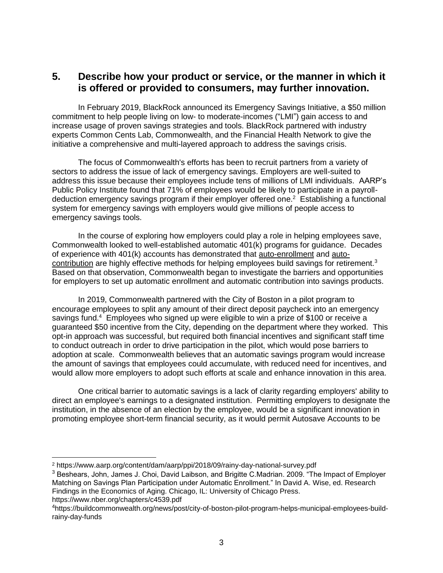#### **5. Describe how your product or service, or the manner in which it is offered or provided to consumers, may further innovation.**

In February 2019, BlackRock announced its Emergency Savings Initiative, a \$50 million commitment to help people living on low- to moderate-incomes ("LMI") gain access to and increase usage of proven savings strategies and tools. BlackRock partnered with industry experts Common Cents Lab, Commonwealth, and the Financial Health Network to give the initiative a comprehensive and multi-layered approach to address the savings crisis.

The focus of Commonwealth's efforts has been to recruit partners from a variety of sectors to address the issue of lack of emergency savings. Employers are well-suited to address this issue because their employees include tens of millions of LMI individuals. AARP's Public Policy Institute found that 71% of employees would be likely to participate in a payrolldeduction emergency savings program if their employer offered one.<sup>2</sup> Establishing a functional system for emergency savings with employers would give millions of people access to emergency savings tools.

In the course of exploring how employers could play a role in helping employees save, Commonwealth looked to well-established automatic 401(k) programs for guidance. Decades of experience with 401(k) accounts has demonstrated that auto-enrollment and autocontribution are highly effective methods for helping employees build savings for retirement.<sup>3</sup> Based on that observation, Commonwealth began to investigate the barriers and opportunities for employers to set up automatic enrollment and automatic contribution into savings products.

In 2019, Commonwealth partnered with the City of Boston in a pilot program to encourage employees to split any amount of their direct deposit paycheck into an emergency savings fund.<sup>4</sup> Employees who signed up were eligible to win a prize of \$100 or receive a guaranteed \$50 incentive from the City, depending on the department where they worked. This opt-in approach was successful, but required both financial incentives and significant staff time to conduct outreach in order to drive participation in the pilot, which would pose barriers to adoption at scale. Commonwealth believes that an automatic savings program would increase the amount of savings that employees could accumulate, with reduced need for incentives, and would allow more employers to adopt such efforts at scale and enhance innovation in this area.

One critical barrier to automatic savings is a lack of clarity regarding employers' ability to direct an employee's earnings to a designated institution. Permitting employers to designate the institution, in the absence of an election by the employee, would be a significant innovation in promoting employee short-term financial security, as it would permit Autosave Accounts to be

<sup>3</sup> Beshears, John, James J. Choi, David Laibson, and Brigitte C.Madrian. 2009. "The Impact of Employer Matching on Savings Plan Participation under Automatic Enrollment." In David A. Wise, ed. Research Findings in the Economics of Aging. Chicago, IL: University of Chicago Press. https://www.nber.org/chapters/c4539.pdf

<sup>2</sup> https://www.aarp.org/content/dam/aarp/ppi/2018/09/rainy-day-national-survey.pdf

<sup>4</sup>https://buildcommonwealth.org/news/post/city-of-boston-pilot-program-helps-municipal-employees-buildrainy-day-funds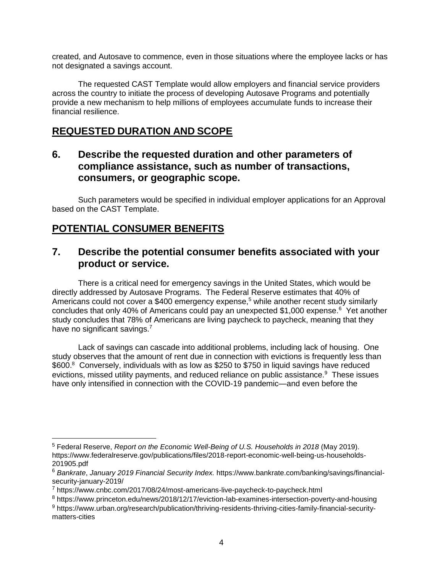created, and Autosave to commence, even in those situations where the employee lacks or has not designated a savings account.

The requested CAST Template would allow employers and financial service providers across the country to initiate the process of developing Autosave Programs and potentially provide a new mechanism to help millions of employees accumulate funds to increase their financial resilience.

## **REQUESTED DURATION AND SCOPE**

#### **6. Describe the requested duration and other parameters of compliance assistance, such as number of transactions, consumers, or geographic scope.**

Such parameters would be specified in individual employer applications for an Approval based on the CAST Template.

### **POTENTIAL CONSUMER BENEFITS**

 $\overline{a}$ 

#### **7. Describe the potential consumer benefits associated with your product or service.**

There is a critical need for emergency savings in the United States, which would be directly addressed by Autosave Programs. The Federal Reserve estimates that 40% of Americans could not cover a \$400 emergency expense,<sup>5</sup> while another recent study similarly concludes that only 40% of Americans could pay an unexpected \$1,000 expense.<sup>6</sup> Yet another study concludes that 78% of Americans are living paycheck to paycheck, meaning that they have no significant savings.<sup>7</sup>

Lack of savings can cascade into additional problems, including lack of housing. One study observes that the amount of rent due in connection with evictions is frequently less than \$600.8 Conversely, individuals with as low as \$250 to \$750 in liquid savings have reduced evictions, missed utility payments, and reduced reliance on public assistance.<sup>9</sup> These issues have only intensified in connection with the COVID-19 pandemic—and even before the

<sup>&</sup>lt;sup>5</sup> Federal Reserve, *Report on the Economic Well-Being of U.S. Households in 2018* (May 2019). https://www.federalreserve.gov/publications/files/2018-report-economic-well-being-us-households-201905.pdf

<sup>6</sup> *Bankrate*, *January 2019 Financial Security Index.* https://www.bankrate.com/banking/savings/financialsecurity-january-2019/

<sup>7</sup> https://www.cnbc.com/2017/08/24/most-americans-live-paycheck-to-paycheck.html

<sup>8</sup> https://www.princeton.edu/news/2018/12/17/eviction-lab-examines-intersection-poverty-and-housing

<sup>9</sup> https://www.urban.org/research/publication/thriving-residents-thriving-cities-family-financial-securitymatters-cities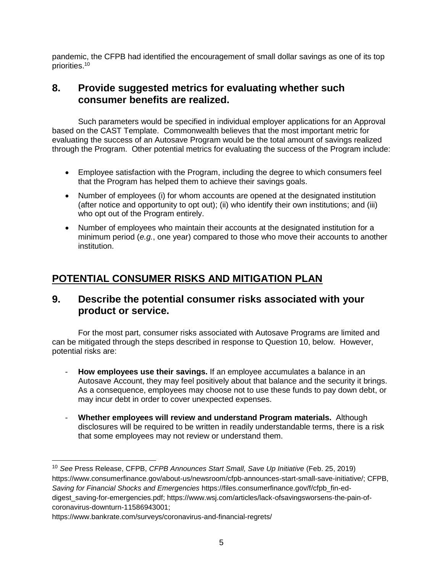pandemic, the CFPB had identified the encouragement of small dollar savings as one of its top priorities.<sup>10</sup>

#### **8. Provide suggested metrics for evaluating whether such consumer benefits are realized.**

Such parameters would be specified in individual employer applications for an Approval based on the CAST Template.Commonwealth believes that the most important metric for evaluating the success of an Autosave Program would be the total amount of savings realized through the Program. Other potential metrics for evaluating the success of the Program include:

- Employee satisfaction with the Program, including the degree to which consumers feel that the Program has helped them to achieve their savings goals.
- Number of employees (i) for whom accounts are opened at the designated institution (after notice and opportunity to opt out); (ii) who identify their own institutions; and (iii) who opt out of the Program entirely.
- Number of employees who maintain their accounts at the designated institution for a minimum period (*e.g.*, one year) compared to those who move their accounts to another institution.

## **POTENTIAL CONSUMER RISKS AND MITIGATION PLAN**

#### **9. Describe the potential consumer risks associated with your product or service.**

For the most part, consumer risks associated with Autosave Programs are limited and can be mitigated through the steps described in response to Question 10, below. However, potential risks are:

- **How employees use their savings.** If an employee accumulates a balance in an Autosave Account, they may feel positively about that balance and the security it brings. As a consequence, employees may choose not to use these funds to pay down debt, or may incur debt in order to cover unexpected expenses.
- **Whether employees will review and understand Program materials.** Although disclosures will be required to be written in readily understandable terms, there is a risk that some employees may not review or understand them.

 $\overline{a}$ 

<sup>10</sup> *See* Press Release, CFPB, *CFPB Announces Start Small, Save Up Initiative* (Feb. 25, 2019) [https://www.consumerfinance.gov/about-us/newsroom/cfpb-announces-start-small-save-initiative/;](https://www.consumerfinance.gov/about-us/newsroom/cfpb-announces-start-small-save-initiative/) CFPB, *Saving for Financial Shocks and Emergencies* [https://files.consumerfinance.gov/f/cfpb\\_fin-ed](https://files.consumerfinance.gov/f/cfpb_fin-ed-digest_saving-for-emergencies.pdf)[digest\\_saving-for-emergencies.pdf;](https://files.consumerfinance.gov/f/cfpb_fin-ed-digest_saving-for-emergencies.pdf) https://www.wsj.com/articles/lack-ofsavingsworsens-the-pain-ofcoronavirus-downturn-11586943001;

https://www.bankrate.com/surveys/coronavirus-and-financial-regrets/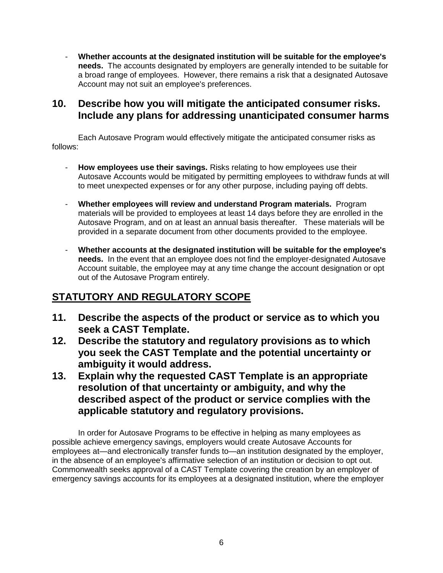- **Whether accounts at the designated institution will be suitable for the employee's needs.** The accounts designated by employers are generally intended to be suitable for a broad range of employees. However, there remains a risk that a designated Autosave Account may not suit an employee's preferences.

#### **10. Describe how you will mitigate the anticipated consumer risks. Include any plans for addressing unanticipated consumer harms**

Each Autosave Program would effectively mitigate the anticipated consumer risks as follows:

- How employees use their savings. Risks relating to how employees use their Autosave Accounts would be mitigated by permitting employees to withdraw funds at will to meet unexpected expenses or for any other purpose, including paying off debts.
- **Whether employees will review and understand Program materials.** Program materials will be provided to employees at least 14 days before they are enrolled in the Autosave Program, and on at least an annual basis thereafter. These materials will be provided in a separate document from other documents provided to the employee.
- **Whether accounts at the designated institution will be suitable for the employee's needs.** In the event that an employee does not find the employer-designated Autosave Account suitable, the employee may at any time change the account designation or opt out of the Autosave Program entirely.

# **STATUTORY AND REGULATORY SCOPE**

- **11. Describe the aspects of the product or service as to which you seek a CAST Template.**
- **12. Describe the statutory and regulatory provisions as to which you seek the CAST Template and the potential uncertainty or ambiguity it would address.**
- **13. Explain why the requested CAST Template is an appropriate resolution of that uncertainty or ambiguity, and why the described aspect of the product or service complies with the applicable statutory and regulatory provisions.**

In order for Autosave Programs to be effective in helping as many employees as possible achieve emergency savings, employers would create Autosave Accounts for employees at—and electronically transfer funds to—an institution designated by the employer, in the absence of an employee's affirmative selection of an institution or decision to opt out. Commonwealth seeks approval of a CAST Template covering the creation by an employer of emergency savings accounts for its employees at a designated institution, where the employer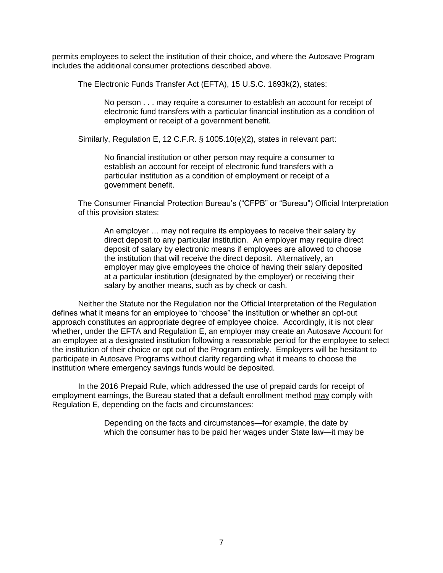permits employees to select the institution of their choice, and where the Autosave Program includes the additional consumer protections described above.

The Electronic Funds Transfer Act (EFTA), 15 U.S.C. 1693k(2), states:

No person . . . may require a consumer to establish an account for receipt of electronic fund transfers with a particular financial institution as a condition of employment or receipt of a government benefit.

Similarly, Regulation E, 12 C.F.R. § 1005.10(e)(2), states in relevant part:

No financial institution or other person may require a consumer to establish an account for receipt of electronic fund transfers with a particular institution as a condition of employment or receipt of a government benefit.

The Consumer Financial Protection Bureau's ("CFPB" or "Bureau") Official Interpretation of this provision states:

An employer … may not require its employees to receive their salary by direct deposit to any particular institution. An employer may require direct deposit of salary by electronic means if employees are allowed to choose the institution that will receive the direct deposit. Alternatively, an employer may give employees the choice of having their salary deposited at a particular institution (designated by the employer) or receiving their salary by another means, such as by check or cash.

Neither the Statute nor the Regulation nor the Official Interpretation of the Regulation defines what it means for an employee to "choose" the institution or whether an opt-out approach constitutes an appropriate degree of employee choice. Accordingly, it is not clear whether, under the EFTA and Regulation E, an employer may create an Autosave Account for an employee at a designated institution following a reasonable period for the employee to select the institution of their choice or opt out of the Program entirely. Employers will be hesitant to participate in Autosave Programs without clarity regarding what it means to choose the institution where emergency savings funds would be deposited.

In the 2016 Prepaid Rule, which addressed the use of prepaid cards for receipt of employment earnings, the Bureau stated that a default enrollment method may comply with Regulation E, depending on the facts and circumstances:

> Depending on the facts and circumstances—for example, the date by which the consumer has to be paid her wages under State law—it may be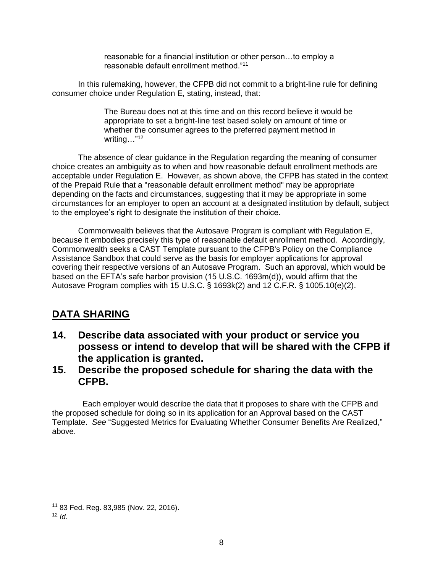reasonable for a financial institution or other person…to employ a reasonable default enrollment method."<sup>11</sup>

In this rulemaking, however, the CFPB did not commit to a bright-line rule for defining consumer choice under Regulation E, stating, instead, that:

> The Bureau does not at this time and on this record believe it would be appropriate to set a bright-line test based solely on amount of time or whether the consumer agrees to the preferred payment method in writing…"<sup>12</sup>

The absence of clear guidance in the Regulation regarding the meaning of consumer choice creates an ambiguity as to when and how reasonable default enrollment methods are acceptable under Regulation E. However, as shown above, the CFPB has stated in the context of the Prepaid Rule that a "reasonable default enrollment method" may be appropriate depending on the facts and circumstances, suggesting that it may be appropriate in some circumstances for an employer to open an account at a designated institution by default, subject to the employee's right to designate the institution of their choice.

Commonwealth believes that the Autosave Program is compliant with Regulation E, because it embodies precisely this type of reasonable default enrollment method. Accordingly, Commonwealth seeks a CAST Template pursuant to the CFPB's Policy on the Compliance Assistance Sandbox that could serve as the basis for employer applications for approval covering their respective versions of an Autosave Program. Such an approval, which would be based on the EFTA's safe harbor provision (15 U.S.C. 1693m(d)), would affirm that the Autosave Program complies with 15 U.S.C. § 1693k(2) and 12 C.F.R. § 1005.10(e)(2).

### **DATA SHARING**

- **14. Describe data associated with your product or service you possess or intend to develop that will be shared with the CFPB if the application is granted.**
- **15. Describe the proposed schedule for sharing the data with the CFPB.**

 Each employer would describe the data that it proposes to share with the CFPB and the proposed schedule for doing so in its application for an Approval based on the CAST Template. *See* "Suggested Metrics for Evaluating Whether Consumer Benefits Are Realized," above.

 $\overline{a}$ 

<sup>11</sup> 83 Fed. Reg. 83,985 (Nov. 22, 2016).

 $12$  *Id*